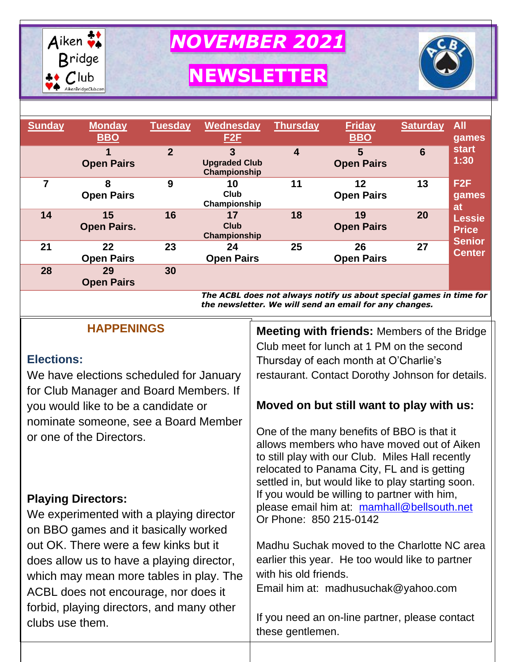

*NOVEMBER 2021*

# **NEWSLETTER**



| <b>Sunday</b> | <b>Monday</b><br><b>BBO</b> | <b>Tuesday</b> | Wednesday<br>E2F                          | Thursday <sup>1</sup>   | <b>Friday</b><br><b>BBO</b> | <b>Saturday</b> | <b>All</b><br>games            |
|---------------|-----------------------------|----------------|-------------------------------------------|-------------------------|-----------------------------|-----------------|--------------------------------|
|               | <b>Open Pairs</b>           | $\overline{2}$ | 3<br><b>Upgraded Club</b><br>Championship | $\overline{\mathbf{4}}$ | 5<br><b>Open Pairs</b>      | $6\phantom{1}6$ | <b>start</b><br>1:30           |
| 7             | 8<br><b>Open Pairs</b>      | 9              | 10<br>Club<br>Championship                | 11                      | 12<br><b>Open Pairs</b>     | 13              | F <sub>2F</sub><br>games<br>at |
| 14            | 15<br><b>Open Pairs.</b>    | 16             | 17<br>Club<br>Championship                | 18                      | 19<br><b>Open Pairs</b>     | 20              | <b>Lessie</b><br><b>Price</b>  |
| 21            | 22<br><b>Open Pairs</b>     | 23             | 24<br><b>Open Pairs</b>                   | 25                      | 26<br><b>Open Pairs</b>     | 27              | <b>Senior</b><br><b>Center</b> |
| 28            | 29<br><b>Open Pairs</b>     | 30             |                                           |                         |                             |                 |                                |

*The ACBL does not always notify us about special games in time for the newsletter. We will send an email for any changes.*

| <b>Meeting with friends: Members of the Bridge</b>                                                                                                                                                                                               |  |  |  |
|--------------------------------------------------------------------------------------------------------------------------------------------------------------------------------------------------------------------------------------------------|--|--|--|
| Club meet for lunch at 1 PM on the second                                                                                                                                                                                                        |  |  |  |
| Thursday of each month at O'Charlie's                                                                                                                                                                                                            |  |  |  |
| restaurant. Contact Dorothy Johnson for details.                                                                                                                                                                                                 |  |  |  |
|                                                                                                                                                                                                                                                  |  |  |  |
| Moved on but still want to play with us:                                                                                                                                                                                                         |  |  |  |
|                                                                                                                                                                                                                                                  |  |  |  |
| One of the many benefits of BBO is that it<br>allows members who have moved out of Aiken<br>to still play with our Club. Miles Hall recently<br>relocated to Panama City, FL and is getting<br>settled in, but would like to play starting soon. |  |  |  |
| If you would be willing to partner with him,                                                                                                                                                                                                     |  |  |  |
| please email him at: mamhall@bellsouth.net                                                                                                                                                                                                       |  |  |  |
| Or Phone: 850 215-0142                                                                                                                                                                                                                           |  |  |  |
|                                                                                                                                                                                                                                                  |  |  |  |
| Madhu Suchak moved to the Charlotte NC area                                                                                                                                                                                                      |  |  |  |
| earlier this year. He too would like to partner                                                                                                                                                                                                  |  |  |  |
| with his old friends.                                                                                                                                                                                                                            |  |  |  |
| Email him at: madhusuchak@yahoo.com                                                                                                                                                                                                              |  |  |  |
| If you need an on-line partner, please contact<br>these gentlemen.                                                                                                                                                                               |  |  |  |
|                                                                                                                                                                                                                                                  |  |  |  |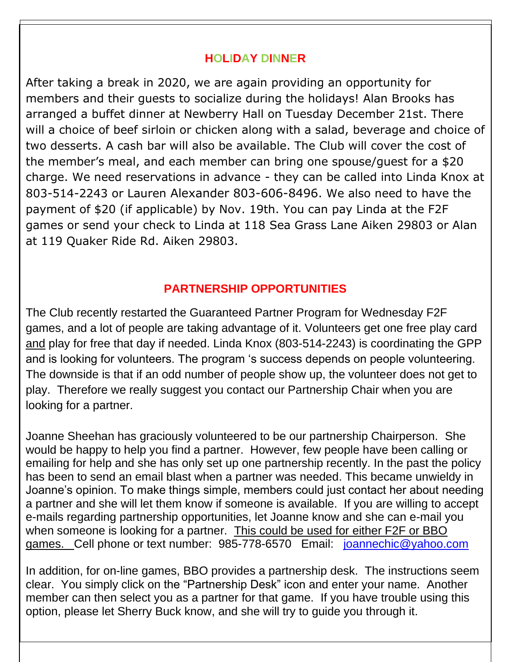#### **HOLIDAY DINNER**

After taking a break in 2020, we are again providing an opportunity for members and their guests to socialize during the holidays! Alan Brooks has arranged a buffet dinner at Newberry Hall on Tuesday December 21st. There will a choice of beef sirloin or chicken along with a salad, beverage and choice of two desserts. A cash bar will also be available. The Club will cover the cost of the member's meal, and each member can bring one spouse/guest for a \$20 charge. We need reservations in advance - they can be called into Linda Knox at 803-514-2243 or Lauren Alexander 803-606-8496. We also need to have the payment of \$20 (if applicable) by Nov. 19th. You can pay Linda at the F2F games or send your check to Linda at 118 Sea Grass Lane Aiken 29803 or Alan at 119 Quaker Ride Rd. Aiken 29803.

#### **PARTNERSHIP OPPORTUNITIES**

The Club recently restarted the Guaranteed Partner Program for Wednesday F2F games, and a lot of people are taking advantage of it. Volunteers get one free play card and play for free that day if needed. Linda Knox (803-514-2243) is coordinating the GPP and is looking for volunteers. The program 's success depends on people volunteering. The downside is that if an odd number of people show up, the volunteer does not get to play. Therefore we really suggest you contact our Partnership Chair when you are looking for a partner.

Joanne Sheehan has graciously volunteered to be our partnership Chairperson. She would be happy to help you find a partner. However, few people have been calling or emailing for help and she has only set up one partnership recently. In the past the policy has been to send an email blast when a partner was needed. This became unwieldy in Joanne's opinion. To make things simple, members could just contact her about needing a partner and she will let them know if someone is available. If you are willing to accept e-mails regarding partnership opportunities, let Joanne know and she can e-mail you when someone is looking for a partner. This could be used for either F2F or BBO games. Cell phone or text number: 985-778-6570 Email: [joannechic@yahoo.com](mailto:joannechic@yahoo.com)

In addition, for on-line games, BBO provides a partnership desk. The instructions seem clear. You simply click on the "Partnership Desk" icon and enter your name. Another member can then select you as a partner for that game. If you have trouble using this option, please let Sherry Buck know, and she will try to guide you through it.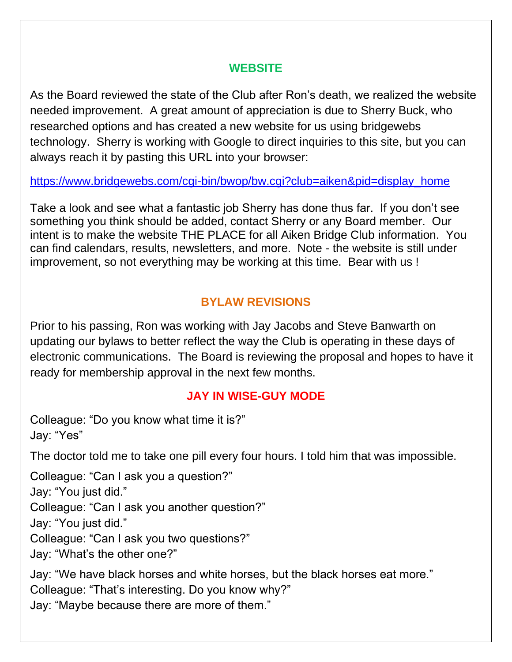#### **WEBSITE**

As the Board reviewed the state of the Club after Ron's death, we realized the website needed improvement. A great amount of appreciation is due to Sherry Buck, who researched options and has created a new website for us using bridgewebs technology. Sherry is working with Google to direct inquiries to this site, but you can always reach it by pasting this URL into your browser:

[https://www.bridgewebs.com/cgi-bin/bwop/bw.cgi?club=aiken&pid=display\\_home](https://www.bridgewebs.com/cgi-bin/bwop/bw.cgi?club=aiken&pid=display_home)

Take a look and see what a fantastic job Sherry has done thus far. If you don't see something you think should be added, contact Sherry or any Board member. Our intent is to make the website THE PLACE for all Aiken Bridge Club information. You can find calendars, results, newsletters, and more. Note - the website is still under improvement, so not everything may be working at this time. Bear with us !

#### **BYLAW REVISIONS**

Prior to his passing, Ron was working with Jay Jacobs and Steve Banwarth on updating our bylaws to better reflect the way the Club is operating in these days of electronic communications. The Board is reviewing the proposal and hopes to have it ready for membership approval in the next few months.

#### **JAY IN WISE-GUY MODE**

Colleague: "Do you know what time it is?" Jay: "Yes"

The doctor told me to take one pill every four hours. I told him that was impossible.

Colleague: "Can I ask you a question?"

Jay: "You just did."

Colleague: "Can I ask you another question?"

Jay: "You just did."

Colleague: "Can I ask you two questions?"

Jay: "What's the other one?"

Jay: "We have black horses and white horses, but the black horses eat more." Colleague: "That's interesting. Do you know why?" Jay: "Maybe because there are more of them."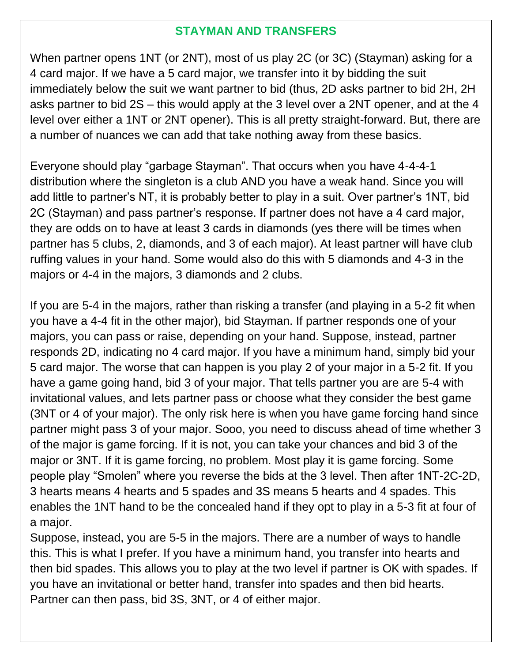#### **STAYMAN AND TRANSFERS**

When partner opens 1NT (or 2NT), most of us play 2C (or 3C) (Stayman) asking for a 4 card major. If we have a 5 card major, we transfer into it by bidding the suit immediately below the suit we want partner to bid (thus, 2D asks partner to bid 2H, 2H asks partner to bid 2S – this would apply at the 3 level over a 2NT opener, and at the 4 level over either a 1NT or 2NT opener). This is all pretty straight-forward. But, there are a number of nuances we can add that take nothing away from these basics.

Everyone should play "garbage Stayman". That occurs when you have 4-4-4-1 distribution where the singleton is a club AND you have a weak hand. Since you will add little to partner's NT, it is probably better to play in a suit. Over partner's 1NT, bid 2C (Stayman) and pass partner's response. If partner does not have a 4 card major, they are odds on to have at least 3 cards in diamonds (yes there will be times when partner has 5 clubs, 2, diamonds, and 3 of each major). At least partner will have club ruffing values in your hand. Some would also do this with 5 diamonds and 4-3 in the majors or 4-4 in the majors, 3 diamonds and 2 clubs.

If you are 5-4 in the majors, rather than risking a transfer (and playing in a 5-2 fit when you have a 4-4 fit in the other major), bid Stayman. If partner responds one of your majors, you can pass or raise, depending on your hand. Suppose, instead, partner responds 2D, indicating no 4 card major. If you have a minimum hand, simply bid your 5 card major. The worse that can happen is you play 2 of your major in a 5-2 fit. If you have a game going hand, bid 3 of your major. That tells partner you are are 5-4 with invitational values, and lets partner pass or choose what they consider the best game (3NT or 4 of your major). The only risk here is when you have game forcing hand since partner might pass 3 of your major. Sooo, you need to discuss ahead of time whether 3 of the major is game forcing. If it is not, you can take your chances and bid 3 of the major or 3NT. If it is game forcing, no problem. Most play it is game forcing. Some people play "Smolen" where you reverse the bids at the 3 level. Then after 1NT-2C-2D, 3 hearts means 4 hearts and 5 spades and 3S means 5 hearts and 4 spades. This enables the 1NT hand to be the concealed hand if they opt to play in a 5-3 fit at four of a major.

Suppose, instead, you are 5-5 in the majors. There are a number of ways to handle this. This is what I prefer. If you have a minimum hand, you transfer into hearts and then bid spades. This allows you to play at the two level if partner is OK with spades. If you have an invitational or better hand, transfer into spades and then bid hearts. Partner can then pass, bid 3S, 3NT, or 4 of either major.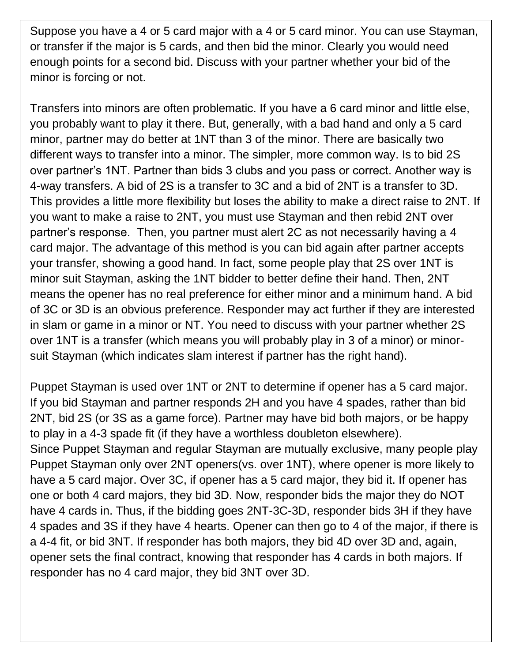Suppose you have a 4 or 5 card major with a 4 or 5 card minor. You can use Stayman, or transfer if the major is 5 cards, and then bid the minor. Clearly you would need enough points for a second bid. Discuss with your partner whether your bid of the minor is forcing or not.

Transfers into minors are often problematic. If you have a 6 card minor and little else, you probably want to play it there. But, generally, with a bad hand and only a 5 card minor, partner may do better at 1NT than 3 of the minor. There are basically two different ways to transfer into a minor. The simpler, more common way. Is to bid 2S over partner's 1NT. Partner than bids 3 clubs and you pass or correct. Another way is 4-way transfers. A bid of 2S is a transfer to 3C and a bid of 2NT is a transfer to 3D. This provides a little more flexibility but loses the ability to make a direct raise to 2NT. If you want to make a raise to 2NT, you must use Stayman and then rebid 2NT over partner's response. Then, you partner must alert 2C as not necessarily having a 4 card major. The advantage of this method is you can bid again after partner accepts your transfer, showing a good hand. In fact, some people play that 2S over 1NT is minor suit Stayman, asking the 1NT bidder to better define their hand. Then, 2NT means the opener has no real preference for either minor and a minimum hand. A bid of 3C or 3D is an obvious preference. Responder may act further if they are interested in slam or game in a minor or NT. You need to discuss with your partner whether 2S over 1NT is a transfer (which means you will probably play in 3 of a minor) or minorsuit Stayman (which indicates slam interest if partner has the right hand).

Puppet Stayman is used over 1NT or 2NT to determine if opener has a 5 card major. If you bid Stayman and partner responds 2H and you have 4 spades, rather than bid 2NT, bid 2S (or 3S as a game force). Partner may have bid both majors, or be happy to play in a 4-3 spade fit (if they have a worthless doubleton elsewhere). Since Puppet Stayman and regular Stayman are mutually exclusive, many people play Puppet Stayman only over 2NT openers(vs. over 1NT), where opener is more likely to have a 5 card major. Over 3C, if opener has a 5 card major, they bid it. If opener has one or both 4 card majors, they bid 3D. Now, responder bids the major they do NOT have 4 cards in. Thus, if the bidding goes 2NT-3C-3D, responder bids 3H if they have 4 spades and 3S if they have 4 hearts. Opener can then go to 4 of the major, if there is a 4-4 fit, or bid 3NT. If responder has both majors, they bid 4D over 3D and, again, opener sets the final contract, knowing that responder has 4 cards in both majors. If responder has no 4 card major, they bid 3NT over 3D.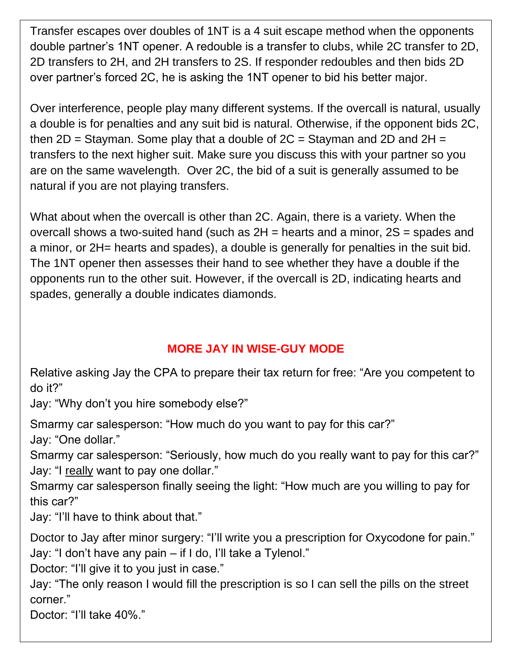Transfer escapes over doubles of 1NT is a 4 suit escape method when the opponents double partner's 1NT opener. A redouble is a transfer to clubs, while 2C transfer to 2D, 2D transfers to 2H, and 2H transfers to 2S. If responder redoubles and then bids 2D over partner's forced 2C, he is asking the 1NT opener to bid his better major.

Over interference, people play many different systems. If the overcall is natural, usually a double is for penalties and any suit bid is natural. Otherwise, if the opponent bids 2C, then  $2D =$  Stayman. Some play that a double of  $2C =$  Stayman and  $2D$  and  $2H =$ transfers to the next higher suit. Make sure you discuss this with your partner so you are on the same wavelength. Over 2C, the bid of a suit is generally assumed to be natural if you are not playing transfers.

What about when the overcall is other than 2C. Again, there is a variety. When the overcall shows a two-suited hand (such as 2H = hearts and a minor, 2S = spades and a minor, or 2H= hearts and spades), a double is generally for penalties in the suit bid. The 1NT opener then assesses their hand to see whether they have a double if the opponents run to the other suit. However, if the overcall is 2D, indicating hearts and spades, generally a double indicates diamonds.

## **MORE JAY IN WISE-GUY MODE**

Relative asking Jay the CPA to prepare their tax return for free: "Are you competent to do it?"

Jay: "Why don't you hire somebody else?"

Smarmy car salesperson: "How much do you want to pay for this car?"

Jay: "One dollar."

Smarmy car salesperson: "Seriously, how much do you really want to pay for this car?" Jay: "I really want to pay one dollar."

Smarmy car salesperson finally seeing the light: "How much are you willing to pay for this car?"

Jay: "I'll have to think about that."

Doctor to Jay after minor surgery: "I'll write you a prescription for Oxycodone for pain." Jay: "I don't have any pain – if I do, I'll take a Tylenol."

Doctor: "I'll give it to you just in case."

Jay: "The only reason I would fill the prescription is so I can sell the pills on the street corner."

Doctor: "I'll take 40%."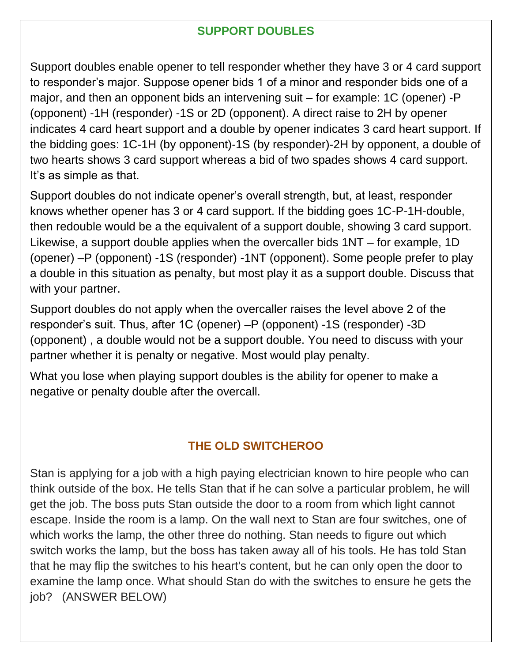## **SUPPORT DOUBLES**

Support doubles enable opener to tell responder whether they have 3 or 4 card support to responder's major. Suppose opener bids 1 of a minor and responder bids one of a major, and then an opponent bids an intervening suit – for example: 1C (opener) -P (opponent) -1H (responder) -1S or 2D (opponent). A direct raise to 2H by opener indicates 4 card heart support and a double by opener indicates 3 card heart support. If the bidding goes: 1C-1H (by opponent)-1S (by responder)-2H by opponent, a double of two hearts shows 3 card support whereas a bid of two spades shows 4 card support. It's as simple as that.

Support doubles do not indicate opener's overall strength, but, at least, responder knows whether opener has 3 or 4 card support. If the bidding goes 1C-P-1H-double, then redouble would be a the equivalent of a support double, showing 3 card support. Likewise, a support double applies when the overcaller bids 1NT – for example, 1D (opener) –P (opponent) -1S (responder) -1NT (opponent). Some people prefer to play a double in this situation as penalty, but most play it as a support double. Discuss that with your partner.

Support doubles do not apply when the overcaller raises the level above 2 of the responder's suit. Thus, after 1C (opener) –P (opponent) -1S (responder) -3D (opponent) , a double would not be a support double. You need to discuss with your partner whether it is penalty or negative. Most would play penalty.

What you lose when playing support doubles is the ability for opener to make a negative or penalty double after the overcall.

## **THE OLD SWITCHEROO**

Stan is applying for a job with a high paying electrician known to hire people who can think outside of the box. He tells Stan that if he can solve a particular problem, he will get the job. The boss puts Stan outside the door to a room from which light cannot escape. Inside the room is a lamp. On the wall next to Stan are four switches, one of which works the lamp, the other three do nothing. Stan needs to figure out which switch works the lamp, but the boss has taken away all of his tools. He has told Stan that he may flip the switches to his heart's content, but he can only open the door to examine the lamp once. What should Stan do with the switches to ensure he gets the job? (ANSWER BELOW)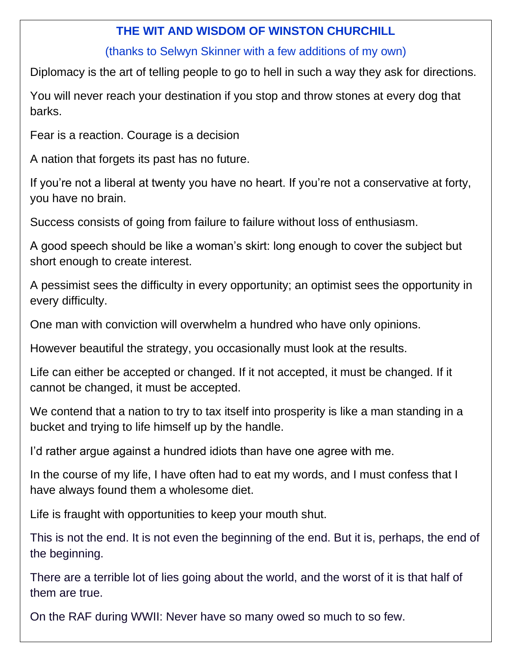#### **THE WIT AND WISDOM OF WINSTON CHURCHILL**

#### (thanks to Selwyn Skinner with a few additions of my own)

Diplomacy is the art of telling people to go to hell in such a way they ask for directions.

You will never reach your destination if you stop and throw stones at every dog that barks.

Fear is a reaction. Courage is a decision

A nation that forgets its past has no future.

If you're not a liberal at twenty you have no heart. If you're not a conservative at forty, you have no brain.

Success consists of going from failure to failure without loss of enthusiasm.

A good speech should be like a woman's skirt: long enough to cover the subject but short enough to create interest.

A pessimist sees the difficulty in every opportunity; an optimist sees the opportunity in every difficulty.

One man with conviction will overwhelm a hundred who have only opinions.

However beautiful the strategy, you occasionally must look at the results.

Life can either be accepted or changed. If it not accepted, it must be changed. If it cannot be changed, it must be accepted.

We contend that a nation to try to tax itself into prosperity is like a man standing in a bucket and trying to life himself up by the handle.

I'd rather argue against a hundred idiots than have one agree with me.

In the course of my life, I have often had to eat my words, and I must confess that I have always found them a wholesome diet.

Life is fraught with opportunities to keep your mouth shut.

This is not the end. It is not even the beginning of the end. But it is, perhaps, the end of the beginning.

There are a terrible lot of lies going about the world, and the worst of it is that half of them are true.

On the RAF during WWII: Never have so many owed so much to so few.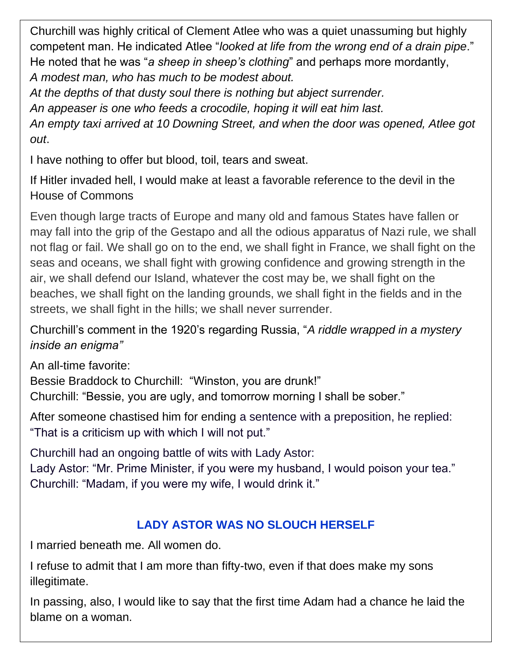Churchill was highly critical of Clement Atlee who was a quiet unassuming but highly competent man. He indicated Atlee "*looked at life from the wrong end of a drain pipe*." He noted that he was "*a sheep in sheep's clothing*" and perhaps more mordantly, *A modest man, who has much to be modest about.*

*At the depths of that dusty soul there is nothing but abject surrender.*

*An appeaser is one who feeds a crocodile, hoping it will eat him last.*

*An empty taxi arrived at 10 Downing Street, and when the door was opened, Atlee got out*.

I have nothing to offer but blood, toil, tears and sweat.

If Hitler invaded hell, I would make at least a favorable reference to the devil in the House of Commons

Even though large tracts of Europe and many old and famous States have fallen or may fall into the grip of the Gestapo and all the odious apparatus of Nazi rule, we shall not flag or fail. We shall go on to the end, we shall fight in France, we shall fight on the seas and oceans, we shall fight with growing confidence and growing strength in the air, we shall defend our Island, whatever the cost may be, we shall fight on the beaches, we shall fight on the landing grounds, we shall fight in the fields and in the streets, we shall fight in the hills; we shall never surrender.

Churchill's comment in the 1920's regarding Russia, "*A riddle wrapped in a mystery inside an enigma"*

An all-time favorite:

Bessie Braddock to Churchill: "Winston, you are drunk!"

Churchill: "Bessie, you are ugly, and tomorrow morning I shall be sober."

After someone chastised him for ending a sentence with a preposition, he replied: "That is a criticism up with which I will not put."

Churchill had an ongoing battle of wits with Lady Astor:

Lady Astor: "Mr. Prime Minister, if you were my husband, I would poison your tea." Churchill: "Madam, if you were my wife, I would drink it."

## **LADY ASTOR WAS NO SLOUCH HERSELF**

I married beneath me. All women do.

I refuse to admit that I am more than fifty-two, even if that does make my sons illegitimate.

In passing, also, I would like to say that the first time Adam had a chance he laid the blame on a woman.